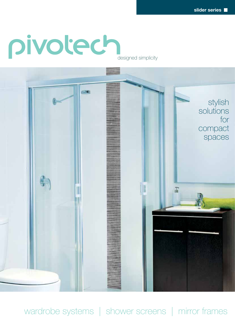# pivotech



wardrobe systems | shower screens | mirror frames